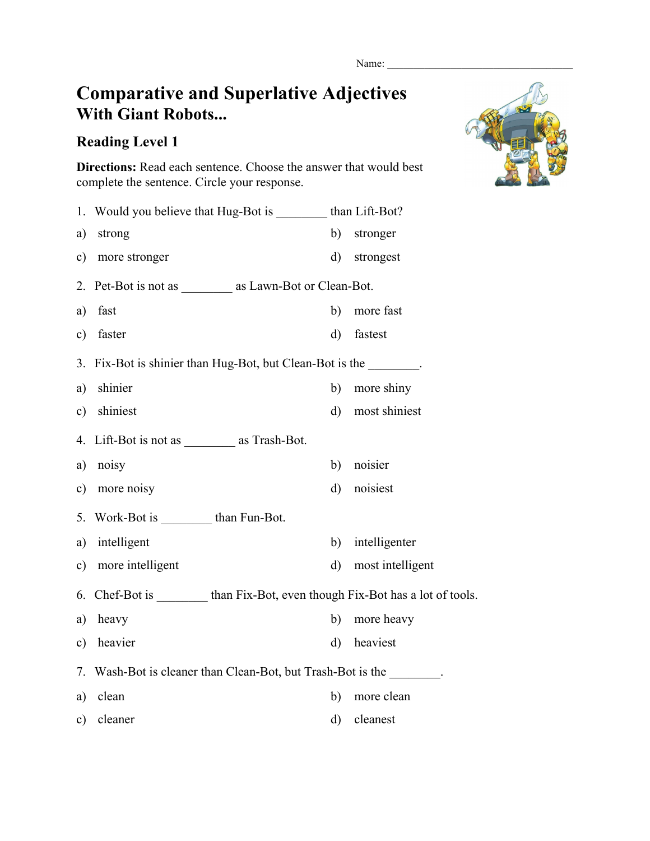## **Comparative and Superlative Adjectives With Giant Robots...**

## **Reading Level 1**

**Directions:** Read each sentence. Choose the answer that would best complete the sentence. Circle your response.

|               | 1. Would you believe that Hug-Bot is _________ than Lift-Bot?                |              |                  |  |
|---------------|------------------------------------------------------------------------------|--------------|------------------|--|
| a)            | strong                                                                       | b)           | stronger         |  |
| $\mathbf{c})$ | more stronger                                                                | $\rm d)$     | strongest        |  |
| 2.            | Pet-Bot is not as ___________ as Lawn-Bot or Clean-Bot.                      |              |                  |  |
| a)            | fast                                                                         | b)           | more fast        |  |
| $\mathbf{c})$ | faster                                                                       | $\rm d)$     | fastest          |  |
|               | 3. Fix-Bot is shinier than Hug-Bot, but Clean-Bot is the _______.            |              |                  |  |
| a)            | shinier                                                                      | b)           | more shiny       |  |
| $\mathbf{c})$ | shiniest                                                                     | $\mathbf{d}$ | most shiniest    |  |
|               | 4. Lift-Bot is not as $\qquad$ as Trash-Bot.                                 |              |                  |  |
| a)            | noisy                                                                        | b)           | noisier          |  |
| c)            | more noisy                                                                   | $\rm d$      | noisiest         |  |
| 5.            | Work-Bot is than Fun-Bot.                                                    |              |                  |  |
| a)            | intelligent                                                                  | b)           | intelligenter    |  |
| $\mathbf{c})$ | more intelligent                                                             | $\rm d)$     | most intelligent |  |
| 6.            | Chef-Bot is __________ than Fix-Bot, even though Fix-Bot has a lot of tools. |              |                  |  |
| a)            | heavy                                                                        | b)           | more heavy       |  |
| $\mathbf{c})$ | heavier                                                                      | $\rm d$      | heaviest         |  |
| 7.            | Wash-Bot is cleaner than Clean-Bot, but Trash-Bot is the                     |              |                  |  |
| a)            | clean                                                                        | b)           | more clean       |  |
| $\mathbf{c})$ | cleaner                                                                      | $\rm d$      | cleanest         |  |

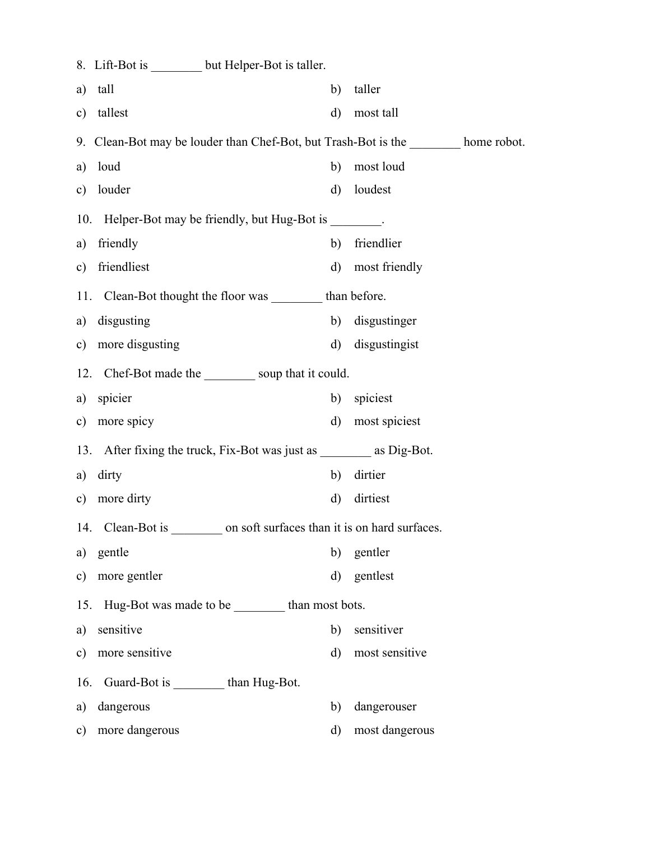|               | 8. Lift-Bot is _________ but Helper-Bot is taller.                                  |              |                |  |  |  |
|---------------|-------------------------------------------------------------------------------------|--------------|----------------|--|--|--|
| a)            | tall                                                                                | b)           | taller         |  |  |  |
| $\mathbf{c})$ | tallest                                                                             | $\rm d$      | most tall      |  |  |  |
|               | 9. Clean-Bot may be louder than Chef-Bot, but Trash-Bot is the ________ home robot. |              |                |  |  |  |
| a)            | loud                                                                                | b)           | most loud      |  |  |  |
| $\mathbf{c})$ | louder                                                                              | $\rm d$      | loudest        |  |  |  |
|               | 10. Helper-Bot may be friendly, but Hug-Bot is ________.                            |              |                |  |  |  |
| a)            | friendly                                                                            | b)           | friendlier     |  |  |  |
| $\mathbf{c})$ | friendliest                                                                         | $\mathbf{d}$ | most friendly  |  |  |  |
|               | 11. Clean-Bot thought the floor was __________ than before.                         |              |                |  |  |  |
| a)            | disgusting                                                                          | b)           | disgustinger   |  |  |  |
|               | c) more disgusting                                                                  | $\mathbf{d}$ | disgustingist  |  |  |  |
| 12.           | Chef-Bot made the soup that it could.                                               |              |                |  |  |  |
| a)            | spicier                                                                             | b)           | spiciest       |  |  |  |
| $\mathbf{c})$ | more spicy                                                                          | $\mathbf{d}$ | most spiciest  |  |  |  |
|               | 13. After fixing the truck, Fix-Bot was just as __________ as Dig-Bot.              |              |                |  |  |  |
| a)            | dirty                                                                               | b)           | dirtier        |  |  |  |
| $\mathbf{c})$ | more dirty                                                                          | $\mathbf{d}$ | dirtiest       |  |  |  |
|               | on soft surfaces than it is on hard surfaces.<br>Clean-Bot is<br>14.                |              |                |  |  |  |
| a)            | gentle                                                                              | b)           | gentler        |  |  |  |
| c)            | more gentler                                                                        | $\rm d$      | gentlest       |  |  |  |
|               | Hug-Bot was made to be _________ than most bots.<br>15.                             |              |                |  |  |  |
| a)            | sensitive                                                                           | b)           | sensitiver     |  |  |  |
| $\mathbf{c})$ | more sensitive                                                                      | $\rm d$      | most sensitive |  |  |  |
| 16.           | Guard-Bot is __________ than Hug-Bot.                                               |              |                |  |  |  |
| a)            | dangerous                                                                           | b)           | dangerouser    |  |  |  |
| $\mathbf{c})$ | more dangerous                                                                      | d)           | most dangerous |  |  |  |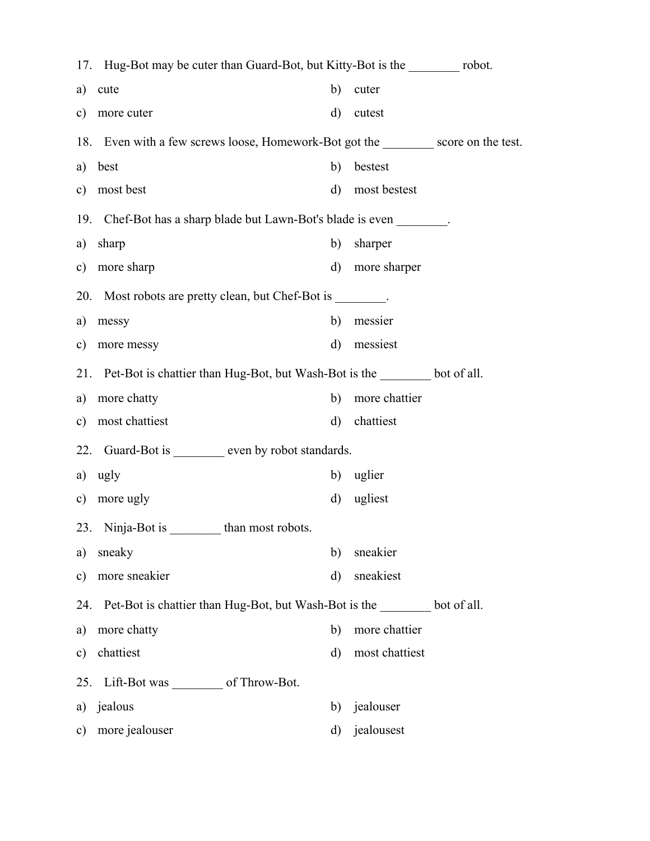|                                                                          | 17. Hug-Bot may be cuter than Guard-Bot, but Kitty-Bot is the __________ robot. |                   |                |  |  |  |  |
|--------------------------------------------------------------------------|---------------------------------------------------------------------------------|-------------------|----------------|--|--|--|--|
| a)                                                                       | cute                                                                            | b)                | cuter          |  |  |  |  |
| $\mathbf{c})$                                                            | more cuter                                                                      | $\mathbf{d}$      | cutest         |  |  |  |  |
|                                                                          | 18. Even with a few screws loose, Homework-Bot got the score on the test.       |                   |                |  |  |  |  |
| a)                                                                       | best                                                                            | b)                | bestest        |  |  |  |  |
| $\mathbf{c})$                                                            | most best                                                                       | $\mathbf{d}$      | most bestest   |  |  |  |  |
|                                                                          | 19. Chef-Bot has a sharp blade but Lawn-Bot's blade is even                     |                   |                |  |  |  |  |
| a)                                                                       | sharp                                                                           | b)                | sharper        |  |  |  |  |
| $\mathbf{c})$                                                            | more sharp                                                                      | $\mathbf{d}$      | more sharper   |  |  |  |  |
|                                                                          | 20. Most robots are pretty clean, but Chef-Bot is                               |                   |                |  |  |  |  |
| a)                                                                       | messy                                                                           | b)                | messier        |  |  |  |  |
| $\mathbf{c})$                                                            | more messy                                                                      | $\mathbf{d}$      | messiest       |  |  |  |  |
| 21.                                                                      | Pet-Bot is chattier than Hug-Bot, but Wash-Bot is the state bot of all.         |                   |                |  |  |  |  |
| a)                                                                       | more chatty                                                                     | b)                | more chattier  |  |  |  |  |
| $\mathbf{c})$                                                            | most chattiest                                                                  | $\rm d)$          | chattiest      |  |  |  |  |
|                                                                          | Guard-Bot is __________ even by robot standards.<br>22.                         |                   |                |  |  |  |  |
| a)                                                                       | ugly                                                                            | b)                | uglier         |  |  |  |  |
| c)                                                                       | more ugly                                                                       | $\rm d)$          | ugliest        |  |  |  |  |
|                                                                          | 23. Ninja-Bot is                                                                | than most robots. |                |  |  |  |  |
| a)                                                                       | sneaky                                                                          | b)                | sneakier       |  |  |  |  |
| $\mathbf{c})$                                                            | more sneakier                                                                   | d)                | sneakiest      |  |  |  |  |
| Pet-Bot is chattier than Hug-Bot, but Wash-Bot is the bot of all.<br>24. |                                                                                 |                   |                |  |  |  |  |
| a)                                                                       | more chatty                                                                     | b)                | more chattier  |  |  |  |  |
| $\mathbf{c})$                                                            | chattiest                                                                       | $\mathbf{d}$      | most chattiest |  |  |  |  |
| 25.                                                                      | Lift-Bot was ___________ of Throw-Bot.                                          |                   |                |  |  |  |  |
| a)                                                                       | jealous                                                                         | b)                | jealouser      |  |  |  |  |
| $\mathbf{c})$                                                            | more jealouser                                                                  | $\mathbf{d}$      | jealousest     |  |  |  |  |
|                                                                          |                                                                                 |                   |                |  |  |  |  |